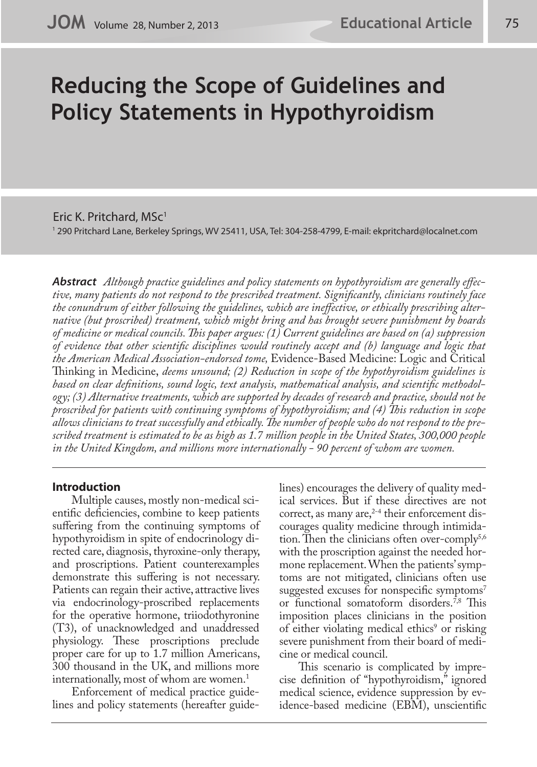# **Reducing the Scope of Guidelines and Policy Statements in Hypothyroidism**

Eric K. Pritchard, MSc<sup>1</sup>

1 290 Pritchard Lane, Berkeley Springs, WV 25411, USA, Tel: 304-258-4799, E-mail: ekpritchard@localnet.com

*Abstract Although practice guidelines and policy statements on hypothyroidism are generally effective, many patients do not respond to the prescribed treatment. Significantly, clinicians routinely face the conundrum of either following the guidelines, which are ineffective, or ethically prescribing alternative (but proscribed) treatment, which might bring and has brought severe punishment by boards of medicine or medical councils. This paper argues: (1) Current guidelines are based on (a) suppression of evidence that other scientific disciplines would routinely accept and (b) language and logic that the American Medical Association-endorsed tome,* Evidence-Based Medicine: Logic and Critical Thinking in Medicine, *deems unsound; (2) Reduction in scope of the hypothyroidism guidelines is based on clear definitions, sound logic, text analysis, mathematical analysis, and scientific methodology; (3) Alternative treatments, which are supported by decades of research and practice, should not be proscribed for patients with continuing symptoms of hypothyroidism; and (4) This reduction in scope allows clinicians to treat successfully and ethically. The number of people who do not respond to the prescribed treatment is estimated to be as high as 1.7 million people in the United States, 300,000 people in the United Kingdom, and millions more internationally - 90 percent of whom are women.*

# **Introduction**

Multiple causes, mostly non-medical scientific deficiencies, combine to keep patients suffering from the continuing symptoms of hypothyroidism in spite of endocrinology directed care, diagnosis, thyroxine-only therapy, and proscriptions. Patient counterexamples demonstrate this suffering is not necessary. Patients can regain their active, attractive lives via endocrinology-proscribed replacements for the operative hormone, triiodothyronine (T3), of unacknowledged and unaddressed physiology. These proscriptions preclude proper care for up to 1.7 million Americans, 300 thousand in the UK, and millions more internationally, most of whom are women.<sup>1</sup>

Enforcement of medical practice guidelines and policy statements (hereafter guidelines) encourages the delivery of quality medical services. But if these directives are not correct, as many are,<sup>2-4</sup> their enforcement discourages quality medicine through intimidation. Then the clinicians often over-comply $5,6$ with the proscription against the needed hormone replacement. When the patients' symptoms are not mitigated, clinicians often use suggested excuses for nonspecific symptoms<sup>7</sup> or functional somatoform disorders.7,8 This imposition places clinicians in the position of either violating medical ethics<sup>9</sup> or risking severe punishment from their board of medicine or medical council.

This scenario is complicated by imprecise definition of "hypothyroidism," ignored medical science, evidence suppression by evidence-based medicine (EBM), unscientific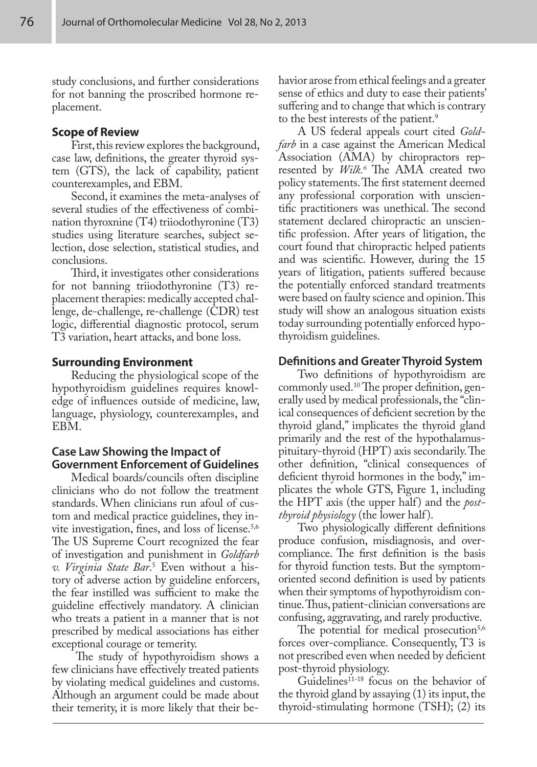study conclusions, and further considerations for not banning the proscribed hormone replacement.

## **Scope of Review**

First, this review explores the background, case law, definitions, the greater thyroid system (GTS), the lack of capability, patient counterexamples, and EBM.

Second, it examines the meta-analyses of several studies of the effectiveness of combination thyroxnine (T4) triiodothyronine (T3) studies using literature searches, subject selection, dose selection, statistical studies, and conclusions.

Third, it investigates other considerations for not banning triiodothyronine (T3) replacement therapies: medically accepted challenge, de-challenge, re-challenge (CDR) test logic, differential diagnostic protocol, serum T3 variation, heart attacks, and bone loss.

## **Surrounding Environment**

Reducing the physiological scope of the hypothyroidism guidelines requires knowledge of influences outside of medicine, law, language, physiology, counterexamples, and EBM.

# **Case Law Showing the Impact of Government Enforcement of Guidelines**

Medical boards/councils often discipline clinicians who do not follow the treatment standards. When clinicians run afoul of custom and medical practice guidelines, they invite investigation, fines, and loss of license.5,6 The US Supreme Court recognized the fear of investigation and punishment in *Goldfarb v. Virginia State Bar*. 5 Even without a history of adverse action by guideline enforcers, the fear instilled was sufficient to make the guideline effectively mandatory. A clinician who treats a patient in a manner that is not prescribed by medical associations has either exceptional courage or temerity.

 The study of hypothyroidism shows a few clinicians have effectively treated patients by violating medical guidelines and customs. Although an argument could be made about their temerity, it is more likely that their behavior arose from ethical feelings and a greater sense of ethics and duty to ease their patients' suffering and to change that which is contrary to the best interests of the patient.<sup>9</sup>

A US federal appeals court cited *Goldfarb* in a case against the American Medical Association (AMA) by chiropractors represented by *Wilk.6* The AMA created two policy statements. The first statement deemed any professional corporation with unscientific practitioners was unethical. The second statement declared chiropractic an unscientific profession. After years of litigation, the court found that chiropractic helped patients and was scientific. However, during the 15 years of litigation, patients suffered because the potentially enforced standard treatments were based on faulty science and opinion. This study will show an analogous situation exists today surrounding potentially enforced hypothyroidism guidelines.

## **Definitions and Greater Thyroid System**

Two definitions of hypothyroidism are commonly used.10 The proper definition, generally used by medical professionals, the "clinical consequences of deficient secretion by the thyroid gland," implicates the thyroid gland primarily and the rest of the hypothalamuspituitary-thyroid (HPT) axis secondarily. The other definition, "clinical consequences of deficient thyroid hormones in the body," implicates the whole GTS, Figure 1, including the HPT axis (the upper half) and the *postthyroid physiology* (the lower half).

Two physiologically different definitions produce confusion, misdiagnosis, and overcompliance. The first definition is the basis for thyroid function tests. But the symptomoriented second definition is used by patients when their symptoms of hypothyroidism continue. Thus, patient-clinician conversations are confusing, aggravating, and rarely productive.

The potential for medical prosecution<sup>5,6</sup> forces over-compliance. Consequently, T3 is not prescribed even when needed by deficient post-thyroid physiology.

Guidelines<sup>11-18</sup> focus on the behavior of the thyroid gland by assaying (1) its input, the thyroid-stimulating hormone (TSH); (2) its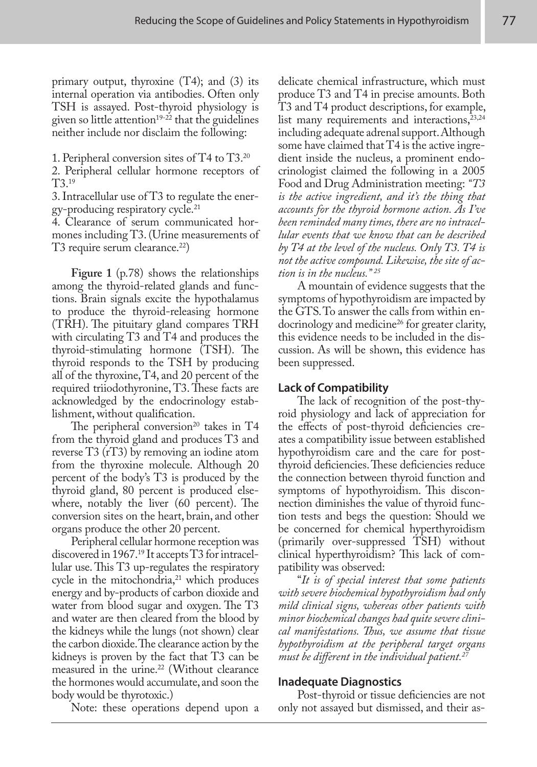primary output, thyroxine  $(T4)$ ; and  $(3)$  its internal operation via antibodies. Often only TSH is assayed. Post-thyroid physiology is given so little attention<sup>19-22</sup> that the guidelines neither include nor disclaim the following:

1. Peripheral conversion sites of T4 to T3.20

2. Peripheral cellular hormone receptors of T3.19

3. Intracellular use of T3 to regulate the energy-producing respiratory cycle.<sup>21</sup>

4. Clearance of serum communicated hormones including T3. (Urine measurements of T3 require serum clearance.<sup>22</sup>)

**Figure 1** (p.78) shows the relationships among the thyroid-related glands and functions. Brain signals excite the hypothalamus to produce the thyroid-releasing hormone (TRH). The pituitary gland compares TRH with circulating T3 and T4 and produces the thyroid-stimulating hormone (TSH). The thyroid responds to the TSH by producing all of the thyroxine, T4, and 20 percent of the required triiodothyronine, T3. These facts are acknowledged by the endocrinology establishment, without qualification.

The peripheral conversion<sup>20</sup> takes in  $T4$ from the thyroid gland and produces T3 and reverse T3 (rT3) by removing an iodine atom from the thyroxine molecule. Although 20 percent of the body's T3 is produced by the thyroid gland, 80 percent is produced elsewhere, notably the liver (60 percent). The conversion sites on the heart, brain, and other organs produce the other 20 percent.

Peripheral cellular hormone reception was discovered in 1967.<sup>19</sup> It accepts T3 for intracellular use. This T3 up-regulates the respiratory cycle in the mitochondria, $21$  which produces energy and by-products of carbon dioxide and water from blood sugar and oxygen. The T3 and water are then cleared from the blood by the kidneys while the lungs (not shown) clear the carbon dioxide. The clearance action by the kidneys is proven by the fact that T3 can be measured in the urine.<sup>22</sup> (Without clearance the hormones would accumulate, and soon the body would be thyrotoxic.)

Note: these operations depend upon a

delicate chemical infrastructure, which must produce T3 and T4 in precise amounts. Both T3 and T4 product descriptions, for example, list many requirements and interactions,  $23,24$ including adequate adrenal support. Although some have claimed that T4 is the active ingredient inside the nucleus, a prominent endocrinologist claimed the following in a 2005 Food and Drug Administration meeting: *"T3 is the active ingredient, and it's the thing that accounts for the thyroid hormone action. As I've been reminded many times, there are no intracellular events that we know that can be described by T4 at the level of the nucleus. Only T3. T4 is not the active compound. Likewise, the site of action is in the nucleus." 25*

A mountain of evidence suggests that the symptoms of hypothyroidism are impacted by the GTS. To answer the calls from within endocrinology and medicine<sup>26</sup> for greater clarity, this evidence needs to be included in the discussion. As will be shown, this evidence has been suppressed.

# **Lack of Compatibility**

The lack of recognition of the post-thyroid physiology and lack of appreciation for the effects of post-thyroid deficiencies creates a compatibility issue between established hypothyroidism care and the care for postthyroid deficiencies. These deficiencies reduce the connection between thyroid function and symptoms of hypothyroidism. This disconnection diminishes the value of thyroid function tests and begs the question: Should we be concerned for chemical hyperthyroidism (primarily over-suppressed TSH) without clinical hyperthyroidism? This lack of compatibility was observed:

"*It is of special interest that some patients with severe biochemical hypothyroidism had only mild clinical signs, whereas other patients with minor biochemical changes had quite severe clinical manifestations. Thus, we assume that tissue hypothyroidism at the peripheral target organs must be different in the individual patient.27*

# **Inadequate Diagnostics**

Post-thyroid or tissue deficiencies are not only not assayed but dismissed, and their as-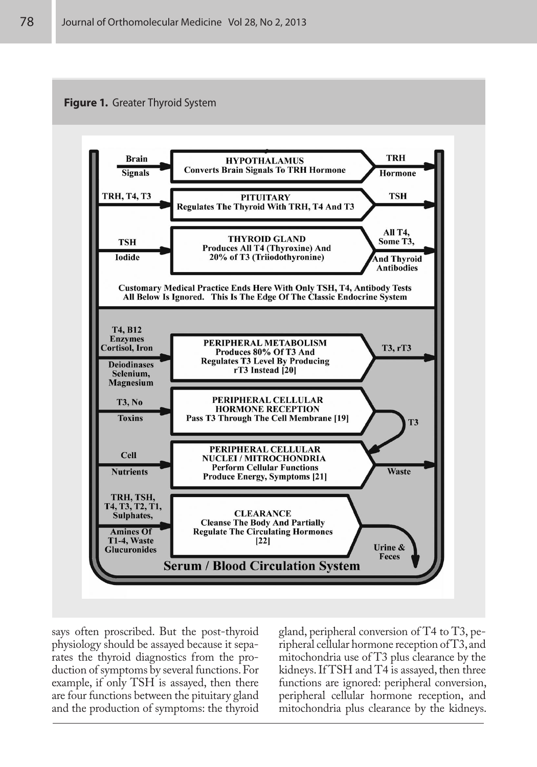



says often proscribed. But the post-thyroid physiology should be assayed because it separates the thyroid diagnostics from the production of symptoms by several functions. For example, if only TSH is assayed, then there are four functions between the pituitary gland and the production of symptoms: the thyroid

gland, peripheral conversion of T4 to T3, peripheral cellular hormone reception of T3, and mitochondria use of T3 plus clearance by the kidneys. If TSH and T4 is assayed, then three functions are ignored: peripheral conversion, peripheral cellular hormone reception, and mitochondria plus clearance by the kidneys.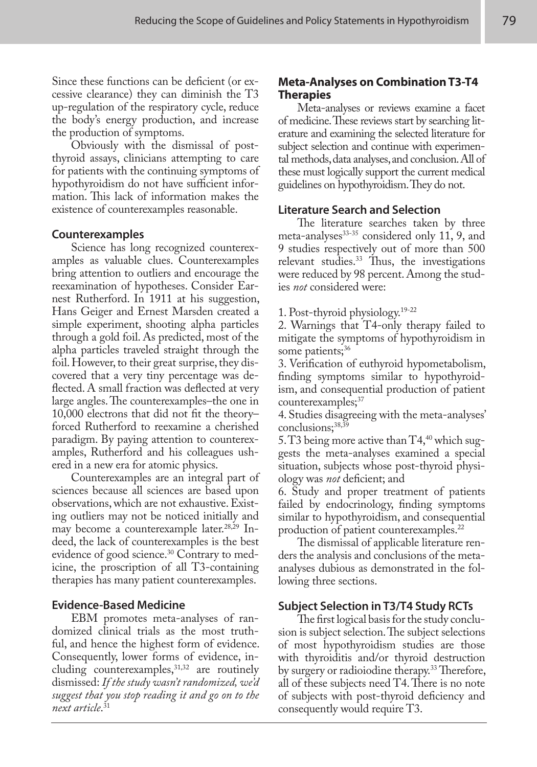Since these functions can be deficient (or excessive clearance) they can diminish the T3 up-regulation of the respiratory cycle, reduce the body's energy production, and increase the production of symptoms.

Obviously with the dismissal of postthyroid assays, clinicians attempting to care for patients with the continuing symptoms of hypothyroidism do not have sufficient information. This lack of information makes the existence of counterexamples reasonable.

# **Counterexamples**

Science has long recognized counterexamples as valuable clues. Counterexamples bring attention to outliers and encourage the reexamination of hypotheses. Consider Earnest Rutherford. In 1911 at his suggestion, Hans Geiger and Ernest Marsden created a simple experiment, shooting alpha particles through a gold foil. As predicted, most of the alpha particles traveled straight through the foil. However, to their great surprise, they discovered that a very tiny percentage was deflected. A small fraction was deflected at very large angles. The counterexamples–the one in 10,000 electrons that did not fit the theory– forced Rutherford to reexamine a cherished paradigm. By paying attention to counterexamples, Rutherford and his colleagues ushered in a new era for atomic physics.

Counterexamples are an integral part of sciences because all sciences are based upon observations, which are not exhaustive. Existing outliers may not be noticed initially and may become a counterexample later.<sup>28,29</sup> Indeed, the lack of counterexamples is the best evidence of good science.<sup>30</sup> Contrary to medicine, the proscription of all T3-containing therapies has many patient counterexamples.

# **Evidence-Based Medicine**

EBM promotes meta-analyses of randomized clinical trials as the most truthful, and hence the highest form of evidence. Consequently, lower forms of evidence, including counterexamples, 31,32 are routinely dismissed: *If the study wasn't randomized, we'd suggest that you stop reading it and go on to the next article*. 31

# **Meta-Analyses on Combination T3-T4 Therapies**

Meta-analyses or reviews examine a facet of medicine. These reviews start by searching literature and examining the selected literature for subject selection and continue with experimental methods, data analyses, and conclusion. All of these must logically support the current medical guidelines on hypothyroidism. They do not.

# **Literature Search and Selection**

The literature searches taken by three meta-analyses $33-35$  considered only 11, 9, and 9 studies respectively out of more than 500 relevant studies.<sup>33</sup> Thus, the investigations were reduced by 98 percent. Among the studies *not* considered were:

1. Post-thyroid physiology.19-22

2. Warnings that T4-only therapy failed to mitigate the symptoms of hypothyroidism in some patients;<sup>36</sup>

3. Verification of euthyroid hypometabolism, finding symptoms similar to hypothyroidism, and consequential production of patient counterexamples;<sup>37</sup>

4. Studies disagreeing with the meta-analyses' conclusions;<sup>38,39</sup>

5. T3 being more active than  $T4,40$  which suggests the meta-analyses examined a special situation, subjects whose post-thyroid physiology was *not* deficient; and

6. Study and proper treatment of patients failed by endocrinology, finding symptoms similar to hypothyroidism, and consequential production of patient counterexamples.<sup>22</sup>

The dismissal of applicable literature renders the analysis and conclusions of the metaanalyses dubious as demonstrated in the following three sections.

# **Subject Selection in T3/T4 Study RCTs**

The first logical basis for the study conclusion is subject selection. The subject selections of most hypothyroidism studies are those with thyroiditis and/or thyroid destruction by surgery or radioiodine therapy.<sup>33</sup> Therefore, all of these subjects need T4. There is no note of subjects with post-thyroid deficiency and consequently would require T3.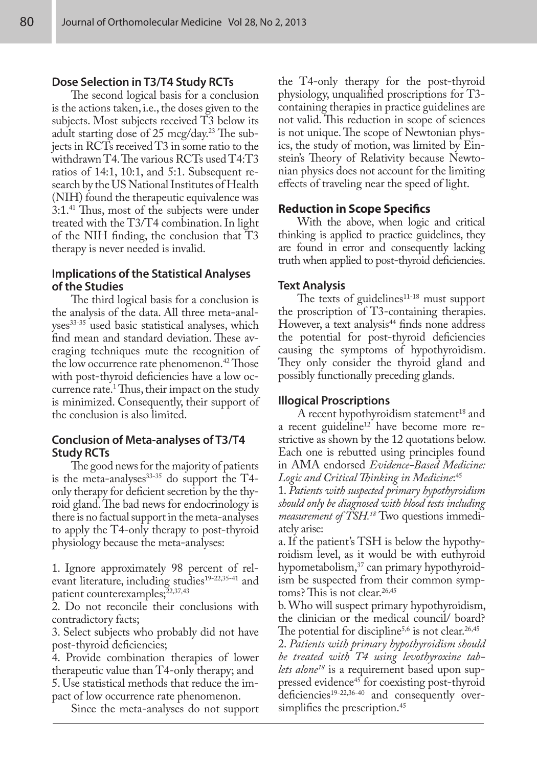## **Dose Selection in T3/T4 Study RCTs**

The second logical basis for a conclusion is the actions taken, i.e., the doses given to the subjects. Most subjects received T3 below its adult starting dose of 25 mcg/day.<sup>23</sup> The subjects in RCTs received T3 in some ratio to the withdrawn T4. The various RCTs used T4:T3 ratios of 14:1, 10:1, and 5:1. Subsequent research by the US National Institutes of Health (NIH) found the therapeutic equivalence was 3:1.41 Thus, most of the subjects were under treated with the T3/T4 combination. In light of the NIH finding, the conclusion that T3 therapy is never needed is invalid.

# **Implications of the Statistical Analyses of the Studies**

The third logical basis for a conclusion is the analysis of the data. All three meta-analyses<sup>33-35</sup> used basic statistical analyses, which find mean and standard deviation. These averaging techniques mute the recognition of the low occurrence rate phenomenon.<sup>42</sup> Those with post-thyroid deficiencies have a low occurrence rate.<sup>1</sup> Thus, their impact on the study is minimized. Consequently, their support of the conclusion is also limited.

# **Conclusion of Meta-analyses of T3/T4 Study RCTs**

The good news for the majority of patients is the meta-analyses $33-35$  do support the T4only therapy for deficient secretion by the thyroid gland. The bad news for endocrinology is there is no factual support in the meta-analyses to apply the T4-only therapy to post-thyroid physiology because the meta-analyses:

1. Ignore approximately 98 percent of relevant literature, including studies<sup>19-22,35-41</sup> and patient counterexamples;<sup>22,37,43</sup>

2. Do not reconcile their conclusions with contradictory facts;

3. Select subjects who probably did not have post-thyroid deficiencies;

4. Provide combination therapies of lower therapeutic value than T4-only therapy; and 5. Use statistical methods that reduce the im-

pact of low occurrence rate phenomenon. Since the meta-analyses do not support

the T4-only therapy for the post-thyroid physiology, unqualified proscriptions for T3 containing therapies in practice guidelines are not valid. This reduction in scope of sciences is not unique. The scope of Newtonian physics, the study of motion, was limited by Einstein's Theory of Relativity because Newtonian physics does not account for the limiting effects of traveling near the speed of light.

## **Reduction in Scope Specifics**

With the above, when logic and critical thinking is applied to practice guidelines, they are found in error and consequently lacking truth when applied to post-thyroid deficiencies.

## **Text Analysis**

The texts of guidelines<sup>11-18</sup> must support the proscription of T3-containing therapies. However, a text analysis<sup>44</sup> finds none address the potential for post-thyroid deficiencies causing the symptoms of hypothyroidism. They only consider the thyroid gland and possibly functionally preceding glands.

#### **Illogical Proscriptions**

A recent hypothyroidism statement<sup>18</sup> and a recent guideline<sup>12</sup> have become more restrictive as shown by the 12 quotations below. Each one is rebutted using principles found in AMA endorsed *Evidence-Based Medicine: Logic and Critical Thinking in Medicine*: 45

1. *Patients with suspected primary hypothyroidism should only be diagnosed with blood tests including measurement of TSH.18* Two questions immediately arise:

a. If the patient's TSH is below the hypothyroidism level, as it would be with euthyroid hypometabolism,<sup>37</sup> can primary hypothyroidism be suspected from their common symptoms? This is not clear.<sup>26,45</sup>

b. Who will suspect primary hypothyroidism, the clinician or the medical council/ board? The potential for discipline<sup>5,6</sup> is not clear.<sup>26,45</sup>

2. *Patients with primary hypothyroidism should be treated with T4 using levothyroxine tablets alone<sup>18</sup>* is a requirement based upon suppressed evidence45 for coexisting post-thyroid deficiencies<sup>19-22,36-40</sup> and consequently oversimplifies the prescription.<sup>45</sup>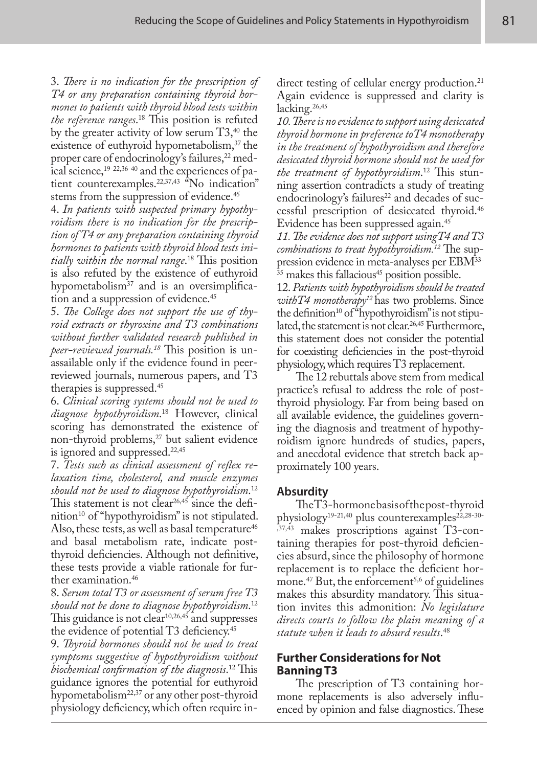3. *There is no indication for the prescription of T4 or any preparation containing thyroid hormones to patients with thyroid blood tests within the reference ranges*. 18 This position is refuted by the greater activity of low serum  $T3,40$  the existence of euthyroid hypometabolism,<sup>37</sup> the proper care of endocrinology's failures,<sup>22</sup> medical science,19-22,36-40 and the experiences of patient counterexamples.22,37,43 "No indication" stems from the suppression of evidence.<sup>45</sup>

4. *In patients with suspected primary hypothyroidism there is no indication for the prescription of T4 or any preparation containing thyroid hormones to patients with thyroid blood tests initially within the normal range*. 18 This position is also refuted by the existence of euthyroid hypometabolism<sup>37</sup> and is an oversimplification and a suppression of evidence.<sup>45</sup>

5. *The College does not support the use of thyroid extracts or thyroxine and T3 combinations without further validated research published in peer-reviewed journals.18* This position is unassailable only if the evidence found in peerreviewed journals, numerous papers, and T3 therapies is suppressed.45

6. *Clinical scoring systems should not be used to diagnose hypothyroidism*. 18 However, clinical scoring has demonstrated the existence of non-thyroid problems,<sup>27</sup> but salient evidence is ignored and suppressed.<sup>22,45</sup>

7. *Tests such as clinical assessment of reflex relaxation time, cholesterol, and muscle enzymes should not be used to diagnose hypothyroidism*. 12 This statement is not clear  $26,45$  since the definition<sup>10</sup> of "hypothyroidism" is not stipulated. Also, these tests, as well as basal temperature<sup>46</sup> and basal metabolism rate, indicate postthyroid deficiencies. Although not definitive, these tests provide a viable rationale for further examination.<sup>46</sup>

8. *Serum total T3 or assessment of serum free T3 should not be done to diagnose hypothyroidism*. 12 This guidance is not clear<sup>10,26,45</sup> and suppresses the evidence of potential T3 deficiency.<sup>45</sup>

9. *Thyroid hormones should not be used to treat symptoms suggestive of hypothyroidism without biochemical confirmation of the diagnosis*. 12 This guidance ignores the potential for euthyroid hypometabolism<sup>22,37</sup> or any other post-thyroid physiology deficiency, which often require in-

direct testing of cellular energy production.<sup>21</sup> Again evidence is suppressed and clarity is lacking.<sup>26,45</sup>

*10. There is no evidence to support using desiccated thyroid hormone in preference toT4 monotherapy in the treatment of hypothyroidism and therefore desiccated thyroid hormone should not be used for the treatment of hypothyroidism*. 12 This stunning assertion contradicts a study of treating endocrinology's failures<sup>22</sup> and decades of successful prescription of desiccated thyroid.46 Evidence has been suppressed again.45

*11. The evidence does not support usingT4 and T3 combinations to treat hypothyroidism.12* The suppression evidence in meta-analyses per EBM33-  $35$  makes this fallacious<sup>45</sup> position possible.

12. *Patients with hypothyroidism should be treated withT4 monotherapy12* has two problems. Since the definition<sup>10</sup> of "hypothyroidism" is not stipulated, the statement is not clear.<sup>26,45</sup> Furthermore, this statement does not consider the potential for coexisting deficiencies in the post-thyroid physiology, which requires T3 replacement.

The 12 rebuttals above stem from medical practice's refusal to address the role of postthyroid physiology. Far from being based on all available evidence, the guidelines governing the diagnosis and treatment of hypothyroidism ignore hundreds of studies, papers, and anecdotal evidence that stretch back approximately 100 years.

# **Absurdity**

The T3-hormone basis of the post-thyroid physiology<sup>19-21,40</sup> plus counterexamples<sup>22,28-30-</sup> ,37,43 makes proscriptions against T3-containing therapies for post-thyroid deficiencies absurd, since the philosophy of hormone replacement is to replace the deficient hormone.<sup>47</sup> But, the enforcement<sup>5,6</sup> of guidelines makes this absurdity mandatory. This situation invites this admonition: *No legislature directs courts to follow the plain meaning of a statute when it leads to absurd results*. 48

# **Further Considerations for Not Banning T3**

The prescription of T3 containing hormone replacements is also adversely influenced by opinion and false diagnostics. These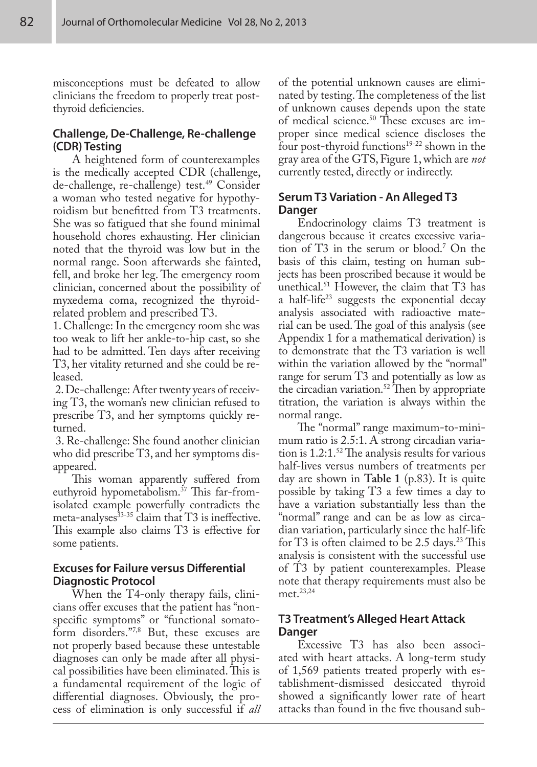misconceptions must be defeated to allow clinicians the freedom to properly treat postthyroid deficiencies.

# **Challenge, De-Challenge, Re-challenge (CDR) Testing**

A heightened form of counterexamples is the medically accepted CDR (challenge, de-challenge, re-challenge) test.49 Consider a woman who tested negative for hypothyroidism but benefitted from T3 treatments. She was so fatigued that she found minimal household chores exhausting. Her clinician noted that the thyroid was low but in the normal range. Soon afterwards she fainted, fell, and broke her leg. The emergency room clinician, concerned about the possibility of myxedema coma, recognized the thyroidrelated problem and prescribed T3.

1. Challenge: In the emergency room she was too weak to lift her ankle-to-hip cast, so she had to be admitted. Ten days after receiving T3, her vitality returned and she could be released.

 2. De-challenge: After twenty years of receiving T3, the woman's new clinician refused to prescribe T3, and her symptoms quickly returned.

 3. Re-challenge: She found another clinician who did prescribe T3, and her symptoms disappeared.

This woman apparently suffered from euthyroid hypometabolism.37 This far-fromisolated example powerfully contradicts the meta-analyses $^{33-35}$  claim that T3 is ineffective. This example also claims T3 is effective for some patients.

# **Excuses for Failure versus Differential Diagnostic Protocol**

When the T4-only therapy fails, clinicians offer excuses that the patient has "nonspecific symptoms" or "functional somatoform disorders."7,8 But, these excuses are not properly based because these untestable diagnoses can only be made after all physical possibilities have been eliminated. This is a fundamental requirement of the logic of differential diagnoses. Obviously, the process of elimination is only successful if *all*

of the potential unknown causes are eliminated by testing. The completeness of the list of unknown causes depends upon the state of medical science.50 These excuses are improper since medical science discloses the four post-thyroid functions<sup>19-22</sup> shown in the gray area of the GTS, Figure 1, which are *not* currently tested, directly or indirectly.

# **Serum T3 Variation - An Alleged T3 Danger**

Endocrinology claims T3 treatment is dangerous because it creates excessive variation of T3 in the serum or blood.7 On the basis of this claim, testing on human subjects has been proscribed because it would be unethical.51 However, the claim that T3 has a half-life<sup>23</sup> suggests the exponential decay analysis associated with radioactive material can be used. The goal of this analysis (see Appendix 1 for a mathematical derivation) is to demonstrate that the T3 variation is well within the variation allowed by the "normal" range for serum T3 and potentially as low as the circadian variation.<sup>52</sup> Then by appropriate titration, the variation is always within the normal range.

The "normal" range maximum-to-minimum ratio is 2.5:1. A strong circadian variation is  $1.2:1.^{52}$  The analysis results for various half-lives versus numbers of treatments per day are shown in **Table 1** (p.83). It is quite possible by taking T3 a few times a day to have a variation substantially less than the "normal" range and can be as low as circadian variation, particularly since the half-life for T3 is often claimed to be 2.5 days.<sup>23</sup> This analysis is consistent with the successful use of T3 by patient counterexamples. Please note that therapy requirements must also be met.23,24

# **T3 Treatment's Alleged Heart Attack Danger**

Excessive T3 has also been associated with heart attacks. A long-term study of 1,569 patients treated properly with establishment-dismissed desiccated thyroid showed a significantly lower rate of heart attacks than found in the five thousand sub-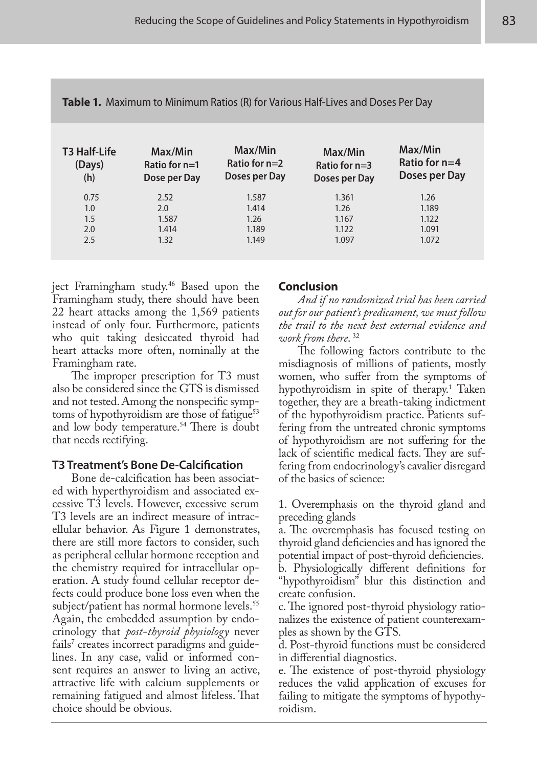| <b>T3 Half-Life</b><br>(Days)<br>(h) | Max/Min<br>Ratio for $n=1$<br>Dose per Day | Max/Min<br>Ratio for $n=2$<br>Doses per Day | Max/Min<br>Ratio for $n=3$<br>Doses per Day | Max/Min<br>Ratio for $n=4$<br>Doses per Day |
|--------------------------------------|--------------------------------------------|---------------------------------------------|---------------------------------------------|---------------------------------------------|
| 0.75                                 | 2.52                                       | 1.587                                       | 1.361                                       | 1.26                                        |
| 1.0                                  | 2.0                                        | 1.414                                       | 1.26                                        | 1.189                                       |
| 1.5                                  | 1.587                                      | 1.26                                        | 1.167                                       | 1.122                                       |
| 2.0                                  | 1.414                                      | 1.189                                       | 1.122                                       | 1.091                                       |
| 2.5                                  | 1.32                                       | 1.149                                       | 1.097                                       | 1.072                                       |

| Table 1. Maximum to Minimum Ratios (R) for Various Half-Lives and Doses Per Day |  |  |  |
|---------------------------------------------------------------------------------|--|--|--|
|---------------------------------------------------------------------------------|--|--|--|

ject Framingham study.<sup>46</sup> Based upon the Framingham study, there should have been 22 heart attacks among the 1,569 patients instead of only four. Furthermore, patients who quit taking desiccated thyroid had heart attacks more often, nominally at the Framingham rate.

The improper prescription for T3 must also be considered since the GTS is dismissed and not tested. Among the nonspecific symptoms of hypothyroidism are those of fatigue $53$ and low body temperature.<sup>54</sup> There is doubt that needs rectifying.

# **T3 Treatment's Bone De-Calcification**

Bone de-calcification has been associated with hyperthyroidism and associated excessive T3 levels. However, excessive serum T3 levels are an indirect measure of intracellular behavior. As Figure 1 demonstrates, there are still more factors to consider, such as peripheral cellular hormone reception and the chemistry required for intracellular operation. A study found cellular receptor defects could produce bone loss even when the subject/patient has normal hormone levels.<sup>55</sup> Again, the embedded assumption by endocrinology that *post-thyroid physiology* never fails<sup>7</sup> creates incorrect paradigms and guidelines. In any case, valid or informed consent requires an answer to living an active, attractive life with calcium supplements or remaining fatigued and almost lifeless. That choice should be obvious.

# **Conclusion**

*And if no randomized trial has been carried out for our patient's predicament, we must follow the trail to the next best external evidence and work from there*. 32

The following factors contribute to the misdiagnosis of millions of patients, mostly women, who suffer from the symptoms of hypothyroidism in spite of therapy.<sup>1</sup> Taken together, they are a breath-taking indictment of the hypothyroidism practice. Patients suffering from the untreated chronic symptoms of hypothyroidism are not suffering for the lack of scientific medical facts. They are suffering from endocrinology's cavalier disregard of the basics of science:

1. Overemphasis on the thyroid gland and preceding glands

a. The overemphasis has focused testing on thyroid gland deficiencies and has ignored the potential impact of post-thyroid deficiencies.

b. Physiologically different definitions for "hypothyroidism" blur this distinction and create confusion.

c. The ignored post-thyroid physiology rationalizes the existence of patient counterexamples as shown by the GTS.

d. Post-thyroid functions must be considered in differential diagnostics.

e. The existence of post-thyroid physiology reduces the valid application of excuses for failing to mitigate the symptoms of hypothyroidism.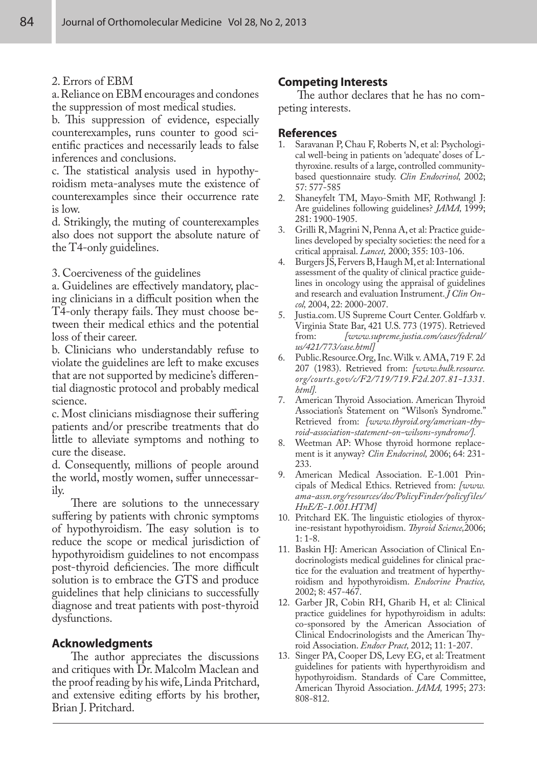## 2. Errors of EBM

a. Reliance on EBM encourages and condones the suppression of most medical studies.

b. This suppression of evidence, especially counterexamples, runs counter to good scientific practices and necessarily leads to false inferences and conclusions.

c. The statistical analysis used in hypothyroidism meta-analyses mute the existence of counterexamples since their occurrence rate is low.

d. Strikingly, the muting of counterexamples also does not support the absolute nature of the T4-only guidelines.

## 3. Coerciveness of the guidelines

a. Guidelines are effectively mandatory, placing clinicians in a difficult position when the T4-only therapy fails. They must choose between their medical ethics and the potential loss of their career.

b. Clinicians who understandably refuse to violate the guidelines are left to make excuses that are not supported by medicine's differential diagnostic protocol and probably medical science.

c. Most clinicians misdiagnose their suffering patients and/or prescribe treatments that do little to alleviate symptoms and nothing to cure the disease.

d. Consequently, millions of people around the world, mostly women, suffer unnecessarily.

There are solutions to the unnecessary suffering by patients with chronic symptoms of hypothyroidism. The easy solution is to reduce the scope or medical jurisdiction of hypothyroidism guidelines to not encompass post-thyroid deficiencies. The more difficult solution is to embrace the GTS and produce guidelines that help clinicians to successfully diagnose and treat patients with post-thyroid dysfunctions.

# **Acknowledgments**

The author appreciates the discussions and critiques with Dr. Malcolm Maclean and the proof reading by his wife, Linda Pritchard, and extensive editing efforts by his brother, Brian J. Pritchard.

# **Competing Interests**

The author declares that he has no competing interests.

## **References**

- 1. Saravanan P, Chau F, Roberts N, et al: Psychological well-being in patients on 'adequate' doses of Lthyroxine. results of a large, controlled communitybased questionnaire study. *Clin Endocrinol,* 2002; 57: 577-585
- 2. Shaneyfelt TM, Mayo-Smith MF, Rothwangl J: Are guidelines following guidelines? *JAMA,* 1999; 281: 1900-1905.
- 3. Grilli R, Magrini N, Penna A, et al: Practice guidelines developed by specialty societies: the need for a critical appraisal. *Lancet,* 2000; 355: 103-106.
- 4. Burgers JS, Fervers B, Haugh M, et al: International assessment of the quality of clinical practice guidelines in oncology using the appraisal of guidelines and research and evaluation Instrument. *J Clin Oncol,* 2004, 22: 2000-2007.
- 5. Justia.com. US Supreme Court Center. Goldfarb v. Virginia State Bar, 421 U.S. 773 (1975). Retrieved<br>from: *[www.supreme.justia.com/cases/federal/* from: *[www.supreme.justia.com/cases/federal/ us/421/773/case.html]*
- 6. Public.Resource.Org, Inc. Wilk v. AMA, 719 F. 2d 207 (1983). Retrieved from: *[www.bulk.resource. org/courts.gov/c/F2/719/719.F2d.207.81-1331. html].*
- 7. American Thyroid Association. American Thyroid Association's Statement on "Wilson's Syndrome." Retrieved from: *[www.thyroid.org/american-thyroid-association-statement-on-wilsons-syndrome/].*
- 8. Weetman AP: Whose thyroid hormone replacement is it anyway? *Clin Endocrinol,* 2006; 64: 231- 233.
- 9. American Medical Association. E-1.001 Principals of Medical Ethics. Retrieved from: *[www. ama-assn.org/resources/doc/PolicyFinder/policyfiles/ HnE/E-1.001.HTM]*
- 10. Pritchard EK. The linguistic etiologies of thyroxine-resistant hypothyroidism. *Thyroid Science,*2006; 1: 1-8.
- 11. Baskin HJ: American Association of Clinical Endocrinologists medical guidelines for clinical practice for the evaluation and treatment of hyperthyroidism and hypothyroidism. *Endocrine Practice,* 2002; 8: 457-467.
- 12. Garber JR, Cobin RH, Gharib H, et al: Clinical practice guidelines for hypothyroidism in adults: co-sponsored by the American Association of Clinical Endocrinologists and the American Thyroid Association. *Endocr Pract,* 2012; 11: 1-207.
- 13. Singer PA, Cooper DS, Levy EG, et al: Treatment guidelines for patients with hyperthyroidism and hypothyroidism. Standards of Care Committee, American Thyroid Association. *JAMA,* 1995; 273: 808-812.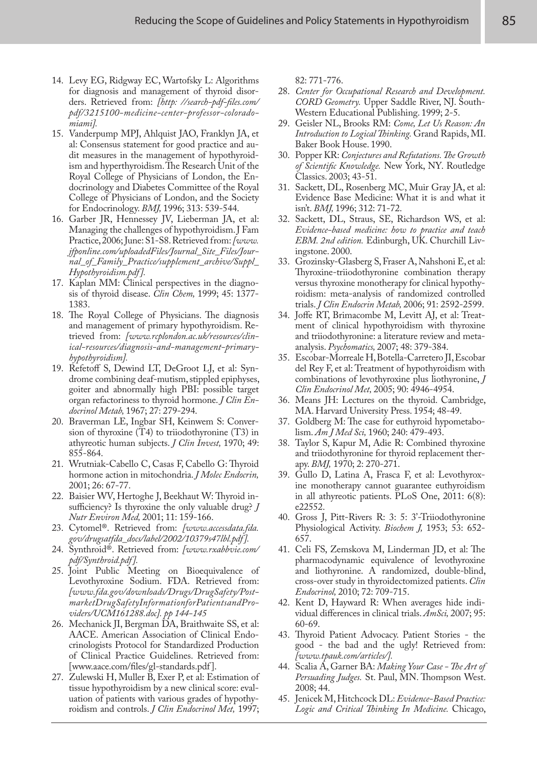- 14. Levy EG, Ridgway EC, Wartofsky L: Algorithms for diagnosis and management of thyroid disorders. Retrieved from: *[http: //search-pdf-files.com/ pdf/3215100-medicine-center-professor-coloradomiami].*
- 15. Vanderpump MPJ, Ahlquist JAO, Franklyn JA, et al: Consensus statement for good practice and audit measures in the management of hypothyroidism and hyperthyroidism. The Research Unit of the Royal College of Physicians of London, the Endocrinology and Diabetes Committee of the Royal College of Physicians of London, and the Society for Endocrinology. *BMJ,* 1996; 313: 539-544.
- 16. Garber JR, Hennessey JV, Lieberman JA, et al: Managing the challenges of hypothyroidism. J Fam Practice, 2006; June: S1-S8. Retrieved from: *[www. jfponline.com/uploadedFiles/Journal\_Site\_Files/Journal\_of\_Family\_Practice/supplement\_archive/Suppl\_ Hypothyroidism.pdf ].*
- 17. Kaplan MM: Clinical perspectives in the diagnosis of thyroid disease. *Clin Chem,* 1999; 45: 1377- 1383.
- 18. The Royal College of Physicians. The diagnosis and management of primary hypothyroidism. Retrieved from: *[www.rcplondon.ac.uk/resources/clinical-resources/diagnosis-and-management-primaryhypothyroidism].*
- 19. Refetoff S, Dewind LT, DeGroot LJ, et al: Syndrome combining deaf-mutism, stippled epiphyses, goiter and abnormally high PBI: possible target organ refactoriness to thyroid hormone. *J Clin Endocrinol Metab,* 1967; 27: 279-294.
- 20. Braverman LE, Ingbar SH, Keinwem S: Conversion of thyroxine (T4) to triiodothyronine (T3) in athyreotic human subjects. *J Clin Invest,* 1970; 49: 855-864.
- 21. Wrutniak-Cabello C, Casas F, Cabello G: Thyroid hormone action in mitochondria. *J Molec Endocrin,* 2001; 26: 67-77.
- 22. Baisier WV, Hertoghe J, Beekhaut W: Thyroid insufficiency? Is thyroxine the only valuable drug? *J Nutr Environ Med,* 2001; 11: 159-166.
- 23. Cytomel®. Retrieved from: *[www.accessdata.fda. gov/drugsatfda\_docs/label/2002/10379s47lbl.pdf ].*
- 24. Synthroid®. Retrieved from: *[www.rxabbvie.com/ pdf/Synthroid.pdf ].*
- 25. Joint Public Meeting on Bioequivalence of Levothyroxine Sodium. FDA. Retrieved from: *[www.fda.gov/downloads/Drugs/DrugSafety/PostmarketDrugSafetyInformationforPatientsandProviders/UCM161288.doc]. pp 144-145*
- 26. Mechanick JI, Bergman DA, Braithwaite SS, et al: AACE. American Association of Clinical Endocrinologists Protocol for Standardized Production of Clinical Practice Guidelines. Retrieved from: [www.aace.com/files/gl-standards.pdf].
- 27. Zulewski H, Muller B, Exer P, et al: Estimation of tissue hypothyroidism by a new clinical score: evaluation of patients with various grades of hypothyroidism and controls. *J Clin Endocrinol Met,* 1997;

82: 771-776.

- 28. *Center for Occupational Research and Development. CORD Geometry.* Upper Saddle River, NJ. South-Western Educational Publishing. 1999; 2-5.
- 29. Geisler NL, Brooks RM: *Come, Let Us Reason: An Introduction to Logical Thinking.* Grand Rapids, MI. Baker Book House. 1990.
- 30. Popper KR: *Conjectures and Refutations. The Growth of Scientific Knowledge.* New York, NY. Routledge Classics. 2003; 43-51.
- 31. Sackett, DL, Rosenberg MC, Muir Gray JA, et al: Evidence Base Medicine: What it is and what it isn't. *BMJ,* 1996; 312: 71-72.
- 32. Sackett, DL, Straus, SE, Richardson WS, et al: *Evidence-based medicine: how to practice and teach EBM. 2nd edition.* Edinburgh, UK. Churchill Livingstone. 2000.
- 33. Grozinsky-Glasberg S, Fraser A, Nahshoni E, et al: Thyroxine-triiodothyronine combination therapy versus thyroxine monotherapy for clinical hypothyroidism: meta-analysis of randomized controlled trials. *J Clin Endocrin Metab,* 2006; 91: 2592-2599.
- 34. Joffe RT, Brimacombe M, Levitt AJ, et al: Treatment of clinical hypothyroidism with thyroxine and triiodothyronine: a literature review and metaanalysis. *Psychomatics,* 2007; 48: 379-384.
- 35. Escobar-Morreale H, Botella-Carretero JI, Escobar del Rey F, et al: Treatment of hypothyroidism with combinations of levothyroxine plus liothyronine, *J Clin Endocrinol Met,* 2005; 90: 4946-4954.
- 36. Means JH: Lectures on the thyroid. Cambridge, MA. Harvard University Press. 1954; 48-49.
- 37. Goldberg M: The case for euthyroid hypometabolism. *Am J Med Sci,* 1960; 240: 479-493.
- 38. Taylor S, Kapur M, Adie R: Combined thyroxine and triiodothyronine for thyroid replacement therapy. *BMJ,* 1970; 2: 270-271.
- 39. Gullo D, Latina A, Frasca F, et al: Levothyroxine monotherapy cannot guarantee euthyroidism in all athyreotic patients. PLoS One, 2011: 6(8): e22552.
- 40. Gross J, Pitt-Rivers R: 3: 5: 3'-Triiodothyronine Physiological Activity. *Biochem J,* 1953; 53: 652- 657.
- 41. Celi FS, Zemskova M, Linderman JD, et al: The pharmacodynamic equivalence of levothyroxine and liothyronine. A randomized, double-blind, cross-over study in thyroidectomized patients. *Clin Endocrinol,* 2010; 72: 709-715.
- 42. Kent D, Hayward R: When averages hide individual differences in clinical trials. *AmSci,* 2007; 95: 60-69.
- 43. Thyroid Patient Advocacy. Patient Stories the good - the bad and the ugly! Retrieved from: *[www.tpauk.com/articles/].*
- 44. Scalia A, Garner BA: *Making Your Case The Art of Persuading Judges.* St. Paul, MN. Thompson West. 2008; 44.
- 45. Jenicek M, Hitchcock DL: *Evidence-Based Practice: Logic and Critical Thinking In Medicine.* Chicago,